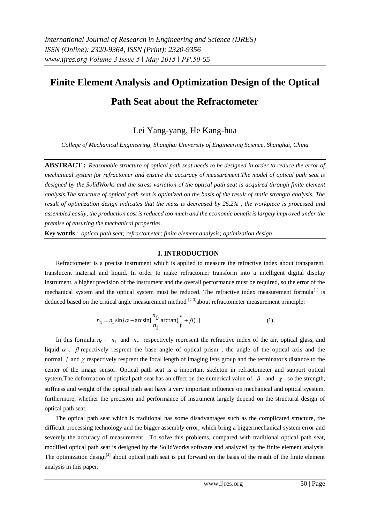# **Finite Element Analysis and Optimization Design of the Optical**

# **Path Seat about the Refractometer**

Lei Yang-yang, He Kang-hua

*College of Mechanical Engineering, Shanghai University of Engineering Science, Shanghai, China*

**ABSTRACT :** *Reasonable structure of optical path seat needs to be designed in order to reduce the error of mechanical system for refractomer and ensure the accuracy of measurement.The model of optical path seat is designed by the SolidWorks and the stress variation of the optical path seat is acquired through finite element analysis.The structure of optical path seat is optimized on the basis of the result of static strength analysis. The result of optimization design indicates that the mass is decreased by 25.2% , the workpiece is processed and assembled easily, the production cost is reduced too much and the economic benefit is largely improved under the premise of ensuring the mechanical properties.*

**Key words**: *optical path seat; refractometer; finite element analysis; optimization design*

## **I. INTRODUCTION**

Refractometer is a precise instrument which is applied to measure the refractive index about transparent, translucent material and liquid. In order to make refractomer transform into a intelligent digital display instrument, a higher precision of the instrument and the overall performance must be required, so the error of the mechanical system and the optical system must be reduced. The refractive index measurement formula<sup>[1]</sup> is deduced based on the critical angle measurement method  $[2-3]$ about refractometer measurement principle:

$$
n_x = n_1 \sin{\{\alpha - \arcsin\left[\frac{n_0}{n_1}\arctan{\left(\frac{x}{f} + \beta\right)}\right]\}}\tag{1}
$$

In this formula:  $n_0 \,$ ,  $n_1$  and  $n_x$  respectively represent the refractive index of the air, optical glass, and liquid.  $\alpha$ ,  $\beta$  repectively resprent the base angle of optical prism, the angle of the optical axis and the normal.  $f$  and  $\chi$  respectively resprent the focal length of imaging lens group and the terminator's distance to the center of the image sensor. Optical path seat is a important skeleton in refractometer and support optical system. The deformation of optical path seat has an effect on the numerical value of  $\beta$  and  $\gamma$ , so the strength, stiffness and weight of the optical path seat have a very important influence on mechanical and optical syestem, furthermore, whether the precision and performance of instrument largely depend on the structural design of optical path seat.

The optical path seat which is traditional has some disadvantages such as the complicated structure, the difficult processing technology and the bigger assembly error, which bring a biggermechanical system error and severely the accuracy of measurement . To solve this problems, compared with traditional optical path seat, modified optical path seat is designed by the SolidWorks software and analyzed by the finite element analysis. The optimization design<sup>[4]</sup> about optical path seat is put forward on the basis of the result of the finite element analysis in this paper.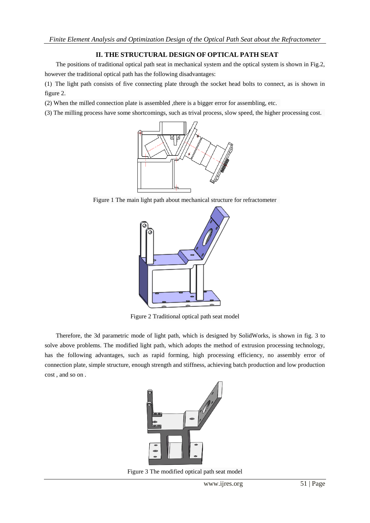# **II. THE STRUCTURAL DESIGN OF OPTICAL PATH SEAT**

The positions of traditional optical path seat in mechanical system and the optical system is shown in Fig.2, however the traditional optical path has the following disadvantages:

(1) The light path consists of five connecting plate through the socket head bolts to connect, as is shown in figure 2.

(2) When the milled connection plate is assembled ,there is a bigger error for assembling, etc.

(3) The milling process have some shortcomings, such as trival process, slow speed, the higher processing cost.



Figure 1 The main light path about mechanical structure for refractometer



Figure 2 Traditional optical path seat model

Therefore, the 3d parametric mode of light path, which is designed by SolidWorks, is shown in fig. 3 to solve above problems. The modified light path, which adopts the method of extrusion processing technology, has the following advantages, such as rapid forming, high processing efficiency, no assembly error of connection plate, simple structure, enough strength and stiffness, achieving batch production and low production cost , and so on .



Figure 3 The modified optical path seat model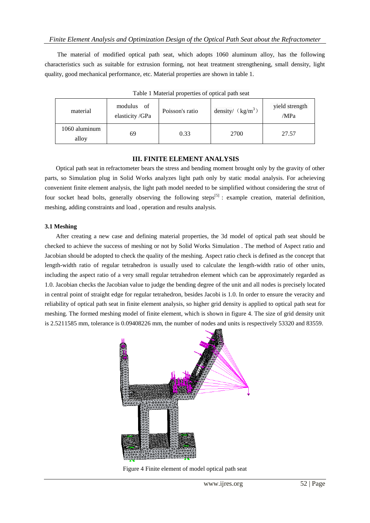The material of modified optical path seat, which adopts 1060 aluminum alloy, has the following characteristics such as suitable for extrusion forming, not heat treatment strengthening, small density, light quality, good mechanical performance, etc. Material properties are shown in table 1.

| Table I Material properties of optical path seat |                              |                 |                     |                        |  |  |
|--------------------------------------------------|------------------------------|-----------------|---------------------|------------------------|--|--|
| material                                         | modulus of<br>elasticity/GPa | Poisson's ratio | density/ $(kg/m^3)$ | yield strength<br>/MPa |  |  |
| 1060 aluminum<br>alloy                           | 69                           | 0.33            | 2700                | 27.57                  |  |  |

Table 1 Material properties of optical path seat

### **III. FINITE ELEMENT ANALYSIS**

Optical path seat in refractometer bears the stress and bending moment brought only by the gravity of other parts, so Simulation plug in Solid Works analyzes light path only by static modal analysis. For acheieving convenient finite element analysis, the light path model needed to be simplified without considering the strut of four socket head bolts, generally observing the following steps<sup>[5]</sup> : example creation, material definition, meshing, adding constraints and load , operation and results analysis.

## **3.1 Meshing**

After creating a new case and defining material properties, the 3d model of optical path seat should be checked to achieve the success of meshing or not by Solid Works Simulation . The method of Aspect ratio and Jacobian should be adopted to check the quality of the meshing. Aspect ratio check is defined as the concept that length-width ratio of regular tetrahedron is usually used to calculate the length-width ratio of other units, including the aspect ratio of a very small regular tetrahedron element which can be approximately regarded as 1.0. Jacobian checks the Jacobian value to judge the bending degree of the unit and all nodes is precisely located in central point of straight edge for regular tetrahedron, besides Jacobi is 1.0. In order to ensure the veracity and reliability of optical path seat in finite element analysis, so higher grid density is applied to optical path seat for meshing. The formed meshing model of finite element, which is shown in figure 4. The size of grid density unit is 2.5211585 mm, tolerance is 0.09408226 mm, the number of nodes and units is respectively 53320 and 83559.



Figure 4 Finite element of model optical path seat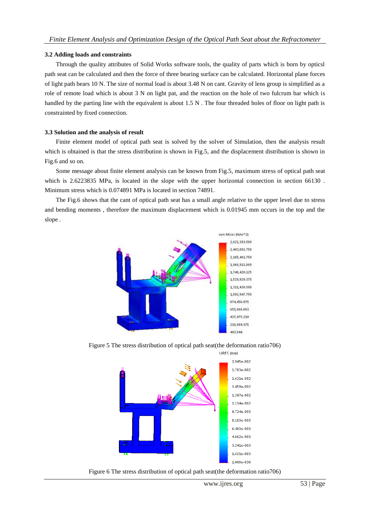#### **3.2 Adding loads and constraints**

Through the quality attributes of Solid Works software tools, the quality of parts which is born by opticsl path seat can be calculated and then the force of three bearing surface can be calculated. Horizontal plane forces of light path bears 10 N. The size of normal load is about 3.48 N on cant. Gravity of lens group is simplified as a role of remote load which is about 3 N on light pat, and the reaction on the hole of two fulcrum bar which is handled by the parting line with the equivalent is about 1.5 N. The four threaded holes of floor on light path is constrainted by fixed connection.

#### **3.3 Solution and the analysis of result**

Finite element model of optical path seat is solved by the solver of Simulation, then the analysis result which is obtained is that the stress distribution is shown in Fig.5, and the displacement distribution is shown in Fig.6 and so on.

Some message about finite element analysis can be known from Fig.5, maximum stress of optical path seat which is 2.6223835 MPa, is located in the slope with the upper horizontal connection in section 66130. Minimum stress which is 0.074891 MPa is located in section 74891.

The Fig.6 shows that the cant of optical path seat has a small angle relative to the upper level due to stress and bending moments , therefore the maximum displacement which is 0.01945 mm occurs in the top and the slope .



Figure 5 The stress distribution of optical path seat(the deformation ratio706)



Figure 6 The stress distribution of optical path seat(the deformation ratio706)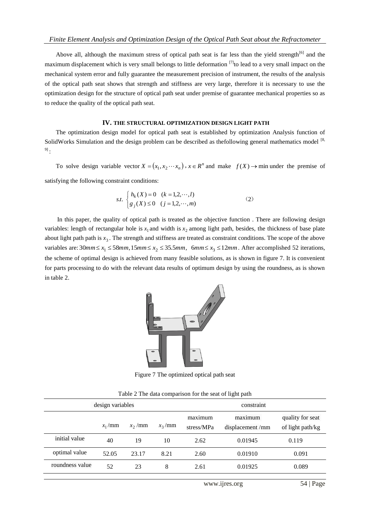Above all, although the maximum stress of optical path seat is far less than the yield strength<sup>[6]</sup> and the maximum displacement which is very small belongs to little deformation  $[7]$  to lead to a very small impact on the mechanical system error and fully guarantee the measurement precision of instrument, the results of the analysis of the optical path seat shows that strength and stiffness are very large, therefore it is necessary to use the optimization design for the structure of optical path seat under premise of guarantee mechanical properties so as to reduce the quality of the optical path seat.

#### **IV. THE STRUCTURAL OPTIMIZATION DESIGN LIGHT PATH**

The optimization design model for optical path seat is established by optimization Analysis function of SolidWorks Simulation and the design problem can be described as the following general mathematics model  $[8, 8]$  $9]$  .

To solve design variable vector  $X = (x_1, x_2 \cdots x_n)$ ,  $x \in \mathbb{R}^n$  and make  $f(X) \to \min$  under the premise of satisfying the following constraint conditions:

s.t. 
$$
\begin{cases} h_k(X) = 0 & (k = 1, 2, \dots, l) \\ g_j(X) \le 0 & (j = 1, 2, \dots, m) \end{cases}
$$
 (2)

 In this paper, the quality of optical path is treated as the objective function . There are following design variables: length of rectangular hole is  $x_1$  and width is  $x_2$  among light path, besides, the thickness of base plate about light path path is  $x_3$ . The strength and stiffness are treated as constraint conditions. The scope of the above variables are:  $30mm \le x_1 \le 58mm$ ,  $15mm \le x_2 \le 35.5mm$ ,  $6mm \le x_3 \le 12mm$ . After accomplished 52 iterations, the scheme of optimal design is achieved from many feasible solutions, as is shown in figure 7. It is convenient for parts processing to do with the relevant data results of optimum design by using the roundness, as is shown in table 2.



Figure 7 The optimized optical path seat

|  |  |  | Table 2 The data comparison for the seat of light path |  |  |
|--|--|--|--------------------------------------------------------|--|--|
|  |  |  |                                                        |  |  |

| design variables |          |           |           | constraint            |                            |                                      |
|------------------|----------|-----------|-----------|-----------------------|----------------------------|--------------------------------------|
|                  | $x_1/mm$ | $x_2$ /mm | $x_3$ /mm | maximum<br>stress/MPa | maximum<br>displacement/mm | quality for seat<br>of light path/kg |
| initial value    | 40       | 19        | 10        | 2.62                  | 0.01945                    | 0.119                                |
| optimal value    | 52.05    | 23.17     | 8.21      | 2.60                  | 0.01910                    | 0.091                                |
| roundness value  | 52       | 23        | 8         | 2.61                  | 0.01925                    | 0.089                                |